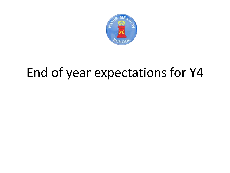

## End of year expectations for Y4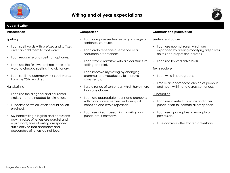

## **Writing end of year expectations**



| A year 4 writer                                                                                                                                                                                                                                                                                                                                                                                                                                                                                                                                                                                                                                                                                         |                                                                                                                                                                                                                                                                                                                                                                                                                                                                                                                                                                            |                                                                                                                                                                                                                                                                                                                                                                                                                                                                                                                                                                                         |  |  |
|---------------------------------------------------------------------------------------------------------------------------------------------------------------------------------------------------------------------------------------------------------------------------------------------------------------------------------------------------------------------------------------------------------------------------------------------------------------------------------------------------------------------------------------------------------------------------------------------------------------------------------------------------------------------------------------------------------|----------------------------------------------------------------------------------------------------------------------------------------------------------------------------------------------------------------------------------------------------------------------------------------------------------------------------------------------------------------------------------------------------------------------------------------------------------------------------------------------------------------------------------------------------------------------------|-----------------------------------------------------------------------------------------------------------------------------------------------------------------------------------------------------------------------------------------------------------------------------------------------------------------------------------------------------------------------------------------------------------------------------------------------------------------------------------------------------------------------------------------------------------------------------------------|--|--|
| <b>Transcription</b>                                                                                                                                                                                                                                                                                                                                                                                                                                                                                                                                                                                                                                                                                    | Composition                                                                                                                                                                                                                                                                                                                                                                                                                                                                                                                                                                | <b>Grammar and punctuation</b>                                                                                                                                                                                                                                                                                                                                                                                                                                                                                                                                                          |  |  |
| Spelling<br>I can spell words with prefixes and suffixes<br>and can add them to root words.<br>I can recognise and spell homophones.<br>I can use the first two or three letters of a<br>word to check a spelling in a dictionary.<br>I can spell the commonly mis-spelt words<br>from the Y3/4 word list.<br>Handwriting<br>I can use the diagonal and horizontal<br>$\bullet$<br>strokes that are needed to join letters.<br>I understand which letters should be left<br>unjoined.<br>My handwriting is legible and consistent;<br>down strokes of letters are parallel and<br>equidistant; lines of writing are spaced<br>sufficiently so that ascenders and<br>descenders of letters do not touch. | I can compose sentences using a range of<br>sentence structures.<br>I can orally rehearse a sentence or a<br>sequence of sentences.<br>I can write a narrative with a clear structure,<br>setting and plot.<br>I can improve my writing by changing<br>grammar and vocabulary to improve<br>consistency.<br>I use a range of sentences which have more<br>than one clause.<br>I can use appropriate nouns and pronouns<br>within and across sentences to support<br>cohesion and avoid repetition.<br>I can use direct speech in my writing and<br>punctuate it correctly. | Sentence structure<br>I can use noun phrases which are<br>$\bullet$<br>expanded by adding modifying adjectives,<br>nouns and preposition phrases.<br>I can use fronted adverbials.<br>$\bullet$<br>Text structure<br>I can write in paragraphs.<br>$\bullet$<br>I make an appropriate choice of pronoun<br>and noun within and across sentences.<br>Punctuation<br>I can use inverted commas and other<br>$\bullet$<br>punctuation to indicate direct speech.<br>I can use apostrophes to mark plural<br>$\bullet$<br>possession.<br>Luse commas after fronted adverbials.<br>$\bullet$ |  |  |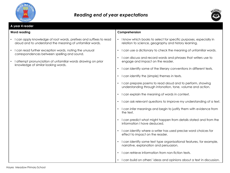



| A year 4 reader                                                                                                                |                                                                                                                             |  |  |
|--------------------------------------------------------------------------------------------------------------------------------|-----------------------------------------------------------------------------------------------------------------------------|--|--|
| <b>Word reading</b>                                                                                                            | Comprehension                                                                                                               |  |  |
| I can apply knowledge of root words, prefixes and suffixes to read<br>aloud and to understand the meaning of unfamiliar words. | • I know which books to select for specific purposes, especially in<br>relation to science, geography and history learning. |  |  |
| I can read further exception words, noting the unusual<br>correspondences between spelling and sound.                          | • I can use a dictionary to check the meaning of unfamiliar words.                                                          |  |  |
| I attempt pronunciation of unfamiliar words drawing on prior<br>knowledge of similar looking words.                            | • I can discuss and record words and phrases that writers use to<br>engage and impact on the reader.                        |  |  |
|                                                                                                                                | • I can identify some of the literary conventions in different texts.                                                       |  |  |
|                                                                                                                                | • I can identify the (simple) themes in texts.                                                                              |  |  |
|                                                                                                                                | • I can prepare poems to read aloud and to perform, showing<br>understanding through intonation, tone, volume and action.   |  |  |
|                                                                                                                                | • I can explain the meaning of words in context.                                                                            |  |  |
|                                                                                                                                | • I can ask relevant questions to improve my understanding of a text.                                                       |  |  |
|                                                                                                                                | • I can infer meanings and begin to justify them with evidence from<br>the text.                                            |  |  |
|                                                                                                                                | I can predict what might happen from details stated and from the<br>information I have deduced.                             |  |  |
|                                                                                                                                | • I can identify where a writer has used precise word choices for<br>effect to impact on the reader.                        |  |  |
|                                                                                                                                | I can identify some text type organisational features, for example,<br>narrative, explanation and persuasion.               |  |  |
|                                                                                                                                | I can retrieve information from non-fiction texts.                                                                          |  |  |
|                                                                                                                                | • I can build on others' ideas and opinions about a text in discussion.                                                     |  |  |